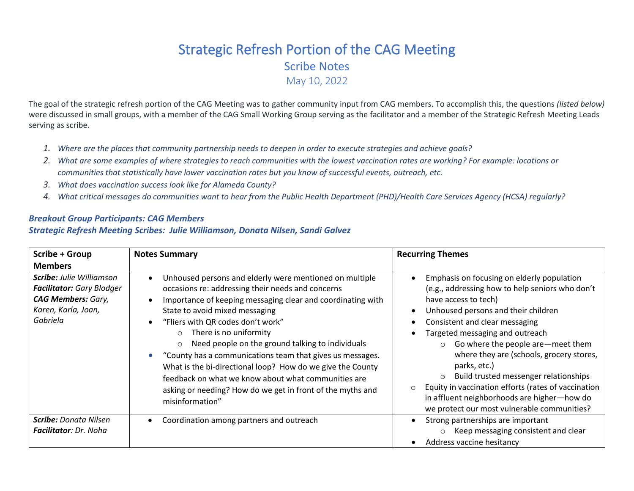## Strategic Refresh Portion of the CAG Meeting Scribe Notes May 10, 2022

The goal of the strategic refresh portion of the CAG Meeting was to gather community input from CAG members. To accomplish this, the questions *(listed below)* were discussed in small groups, with a member of the CAG Small Working Group serving as the facilitator and a member of the Strategic Refresh Meeting Leads serving as scribe.

- *1. Where are the places that community partnership needs to deepen in order to execute strategies and achieve goals?*
- *2. What are some examples of where strategies to reach communities with the lowest vaccination rates are working? For example: locations or communities that statistically have lower vaccination rates but you know of successful events, outreach, etc.*
- *3. What does vaccination success look like for Alameda County?*
- *4. What critical messages do communities want to hear from the Public Health Department (PHD)/Health Care Services Agency (HCSA) regularly?*

## *Breakout Group Participants: CAG Members*

## *Strategic Refresh Meeting Scribes: Julie Williamson, Donata Nilsen, Sandi Galvez*

| Scribe + Group                                                                                                                      | <b>Notes Summary</b>                                                                                                                                                                                                                                                                                                                                                                                                                                                                                                                                                                                                   | <b>Recurring Themes</b>                                                                                                                                                                                                                                                                                                                                                                                                                                                                                                                                          |
|-------------------------------------------------------------------------------------------------------------------------------------|------------------------------------------------------------------------------------------------------------------------------------------------------------------------------------------------------------------------------------------------------------------------------------------------------------------------------------------------------------------------------------------------------------------------------------------------------------------------------------------------------------------------------------------------------------------------------------------------------------------------|------------------------------------------------------------------------------------------------------------------------------------------------------------------------------------------------------------------------------------------------------------------------------------------------------------------------------------------------------------------------------------------------------------------------------------------------------------------------------------------------------------------------------------------------------------------|
| <b>Members</b>                                                                                                                      |                                                                                                                                                                                                                                                                                                                                                                                                                                                                                                                                                                                                                        |                                                                                                                                                                                                                                                                                                                                                                                                                                                                                                                                                                  |
| <b>Scribe:</b> Julie Williamson<br><b>Facilitator:</b> Gary Blodger<br><b>CAG Members: Gary,</b><br>Karen, Karla, Joan,<br>Gabriela | Unhoused persons and elderly were mentioned on multiple<br>occasions re: addressing their needs and concerns<br>Importance of keeping messaging clear and coordinating with<br>State to avoid mixed messaging<br>"Fliers with QR codes don't work"<br>$\circ$ There is no uniformity<br>Need people on the ground talking to individuals<br>$\circ$<br>"County has a communications team that gives us messages.<br>What is the bi-directional loop? How do we give the County<br>feedback on what we know about what communities are<br>asking or needing? How do we get in front of the myths and<br>misinformation" | Emphasis on focusing on elderly population<br>(e.g., addressing how to help seniors who don't<br>have access to tech)<br>Unhoused persons and their children<br>Consistent and clear messaging<br>Targeted messaging and outreach<br>$\circ$ Go where the people are – meet them<br>where they are (schools, grocery stores,<br>parks, etc.)<br>Build trusted messenger relationships<br>$\circ$<br>Equity in vaccination efforts (rates of vaccination<br>$\circ$<br>in affluent neighborhoods are higher-how do<br>we protect our most vulnerable communities? |
| <b>Scribe:</b> Donata Nilsen<br><b>Facilitator: Dr. Noha</b>                                                                        | Coordination among partners and outreach                                                                                                                                                                                                                                                                                                                                                                                                                                                                                                                                                                               | Strong partnerships are important<br>Keep messaging consistent and clear<br>$\circ$<br>Address vaccine hesitancy                                                                                                                                                                                                                                                                                                                                                                                                                                                 |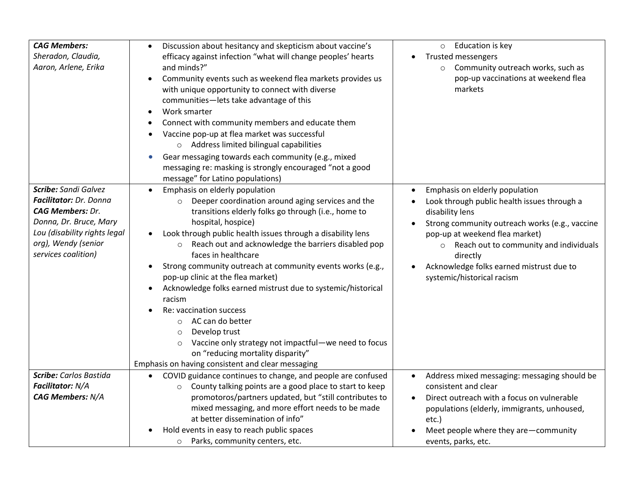| <b>CAG Members:</b><br>Sheradon, Claudia,<br>Aaron, Arlene, Erika                                                                                                                 | Discussion about hesitancy and skepticism about vaccine's<br>efficacy against infection "what will change peoples' hearts<br>and minds?"<br>Community events such as weekend flea markets provides us<br>with unique opportunity to connect with diverse<br>communities-lets take advantage of this<br>Work smarter<br>Connect with community members and educate them<br>Vaccine pop-up at flea market was successful<br>o Address limited bilingual capabilities<br>Gear messaging towards each community (e.g., mixed<br>$\bullet$<br>messaging re: masking is strongly encouraged "not a good<br>message" for Latino populations)                                                                                                                                   | Education is key<br>$\circ$<br><b>Trusted messengers</b><br>Community outreach works, such as<br>$\circ$<br>pop-up vaccinations at weekend flea<br>markets                                                                                                                                                                                   |
|-----------------------------------------------------------------------------------------------------------------------------------------------------------------------------------|-------------------------------------------------------------------------------------------------------------------------------------------------------------------------------------------------------------------------------------------------------------------------------------------------------------------------------------------------------------------------------------------------------------------------------------------------------------------------------------------------------------------------------------------------------------------------------------------------------------------------------------------------------------------------------------------------------------------------------------------------------------------------|----------------------------------------------------------------------------------------------------------------------------------------------------------------------------------------------------------------------------------------------------------------------------------------------------------------------------------------------|
| Scribe: Sandi Galvez<br>Facilitator: Dr. Donna<br><b>CAG Members: Dr.</b><br>Donna, Dr. Bruce, Mary<br>Lou (disability rights legal<br>org), Wendy (senior<br>services coalition) | Emphasis on elderly population<br>$\bullet$<br>o Deeper coordination around aging services and the<br>transitions elderly folks go through (i.e., home to<br>hospital, hospice)<br>Look through public health issues through a disability lens<br>Reach out and acknowledge the barriers disabled pop<br>$\circ$<br>faces in healthcare<br>Strong community outreach at community events works (e.g.,<br>pop-up clinic at the flea market)<br>Acknowledge folks earned mistrust due to systemic/historical<br>racism<br>Re: vaccination success<br>AC can do better<br>$\circ$<br>Develop trust<br>$\circ$<br>Vaccine only strategy not impactful-we need to focus<br>$\circ$<br>on "reducing mortality disparity"<br>Emphasis on having consistent and clear messaging | Emphasis on elderly population<br>$\bullet$<br>Look through public health issues through a<br>disability lens<br>Strong community outreach works (e.g., vaccine<br>pop-up at weekend flea market)<br>Reach out to community and individuals<br>$\circ$<br>directly<br>Acknowledge folks earned mistrust due to<br>systemic/historical racism |
| Scribe: Carlos Bastida<br>Facilitator: N/A<br><b>CAG Members: N/A</b>                                                                                                             | COVID guidance continues to change, and people are confused<br>$\bullet$<br>County talking points are a good place to start to keep<br>$\circ$<br>promotoros/partners updated, but "still contributes to<br>mixed messaging, and more effort needs to be made<br>at better dissemination of info"<br>Hold events in easy to reach public spaces<br>Parks, community centers, etc.<br>$\circ$                                                                                                                                                                                                                                                                                                                                                                            | Address mixed messaging: messaging should be<br>$\bullet$<br>consistent and clear<br>Direct outreach with a focus on vulnerable<br>$\bullet$<br>populations (elderly, immigrants, unhoused,<br>etc.)<br>Meet people where they are-community<br>events, parks, etc.                                                                          |